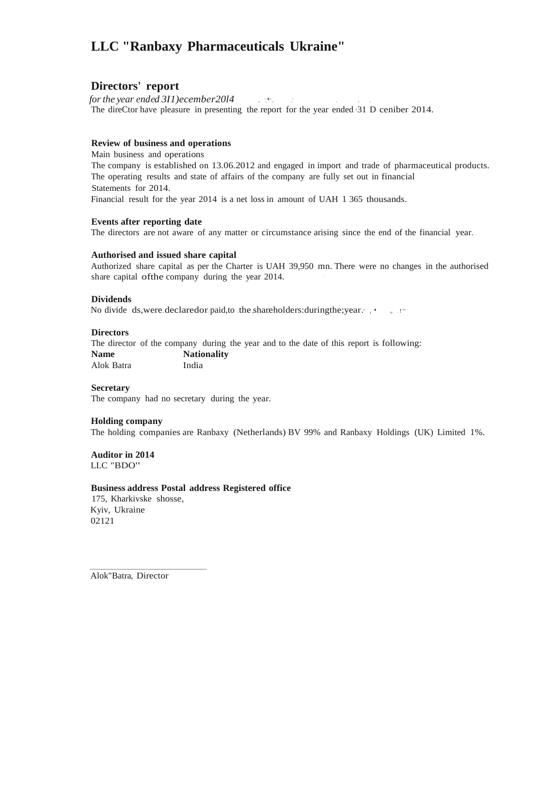# **LLC "Ranbaxy Pharmaceuticals Ukraine"**

#### **Directors' report**

*for the year ended 3I1)ecember20l4* . ·.•·. .· . . . The direCtor have pleasure in presenting the.report for the year ended •31 D ceniber 2014.

#### **Review of business and operations**

Main business and operations The company is established on 13.06.2012 and engaged in import and trade of pharmaceutical products. The operating results and state of affairs of the company are fully set out in financial Statements for 2014. Financial result for the year 2014 is a net loss in amount of UAH 1 365 thousands.

#### **Events after reporting date**

The directors are not aware of any matter or circumstance arising since the end of the financial year.

#### **Authorised and issued share capital**

Authorized share capital as per the Charter is UAH 39,950 mn. There were no changes in the authorised share capital of the company during the year 2014.

#### **Dividends**

No divide ds, were.declaredor. paid, to .the shareholders: during the; year.  $\cdot$  , ...

#### **Directors**

The director of the company during the year and to the date of this report is following: **Name Nationality** Alok Batra India

#### **Secretary**

The company had no secretary during the year.

#### **Holding company**

The holding companies are Ranbaxy (Netherlands) BV 99% and Ranbaxy Holdings (UK) Limited 1%.

**Auditor in 2014** LLC "BDO"

#### **Business address Postal address Registered office**

175, Kharkivske shosse, Kyiv, Ukraine 02121

Alok"Batra, Director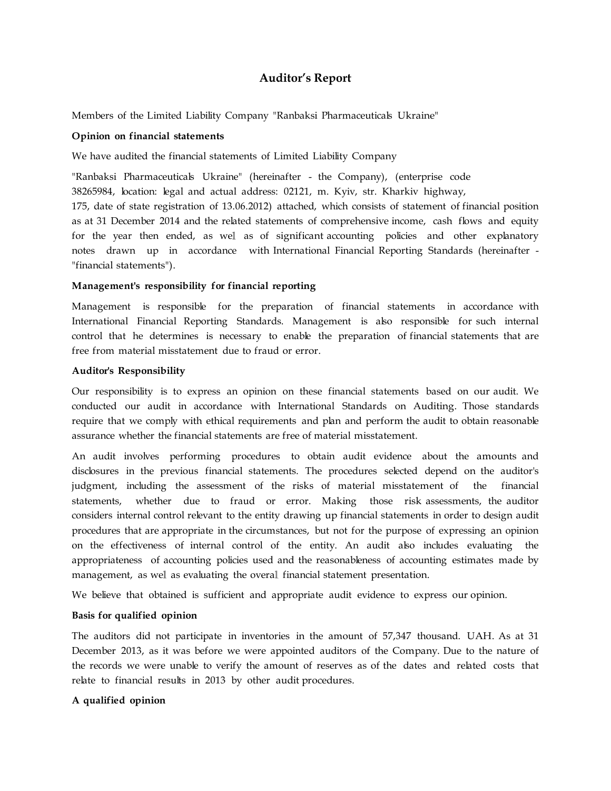## **Auditor's Report**

Members of the Limited Liability Company "Ranbaksi Pharmaceuticals Ukraine"

#### **Opinion on financial statements**

We have audited the financial statements of Limited Liability Company

"Ranbaksi Pharmaceuticals Ukraine" (hereinafter - the Company), (enterprise code 38265984, location: legal and actual address: 02121, m. Kyiv, str. Kharkiv highway, 175, date of state registration of 13.06.2012) attached, which consists of statement of financial position as at 31 December 2014 and the related statements of comprehensive income, cash flows and equity for the year then ended, as wel as of significant accounting policies and other explanatory notes drawn up in accordance with International Financial Reporting Standards (hereinafter - "financial statements").

#### **Management's responsibility for financial reporting**

Management is responsible for the preparation of financial statements in accordance with International Financial Reporting Standards. Management is also responsible for such internal control that he determines is necessary to enable the preparation of financial statements that are free from material misstatement due to fraud or error.

#### **Auditor's Responsibility**

Our responsibility is to express an opinion on these financial statements based on our audit. We conducted our audit in accordance with International Standards on Auditing. Those standards require that we comply with ethical requirements and plan and perform the audit to obtain reasonable assurance whether the financial statements are free of material misstatement.

An audit involves performing procedures to obtain audit evidence about the amounts and disclosures in the previous financial statements. The procedures selected depend on the auditor's judgment, including the assessment of the risks of material misstatement of the financial statements, whether due to fraud or error. Making those risk assessments, the auditor considers internal control relevant to the entity drawing up financial statements in order to design audit procedures that are appropriate in the circumstances, but not for the purpose of expressing an opinion on the effectiveness of internal control of the entity. An audit also includes evaluating the appropriateness of accounting policies used and the reasonableness of accounting estimates made by management, as wel as evaluating the overal financial statement presentation.

We believe that obtained is sufficient and appropriate audit evidence to express our opinion.

#### **Basis for qualified opinion**

The auditors did not participate in inventories in the amount of 57,347 thousand. UAH. As at 31 December 2013, as it was before we were appointed auditors of the Company. Due to the nature of the records we were unable to verify the amount of reserves as of the dates and related costs that relate to financial results in 2013 by other audit procedures.

#### **A qualified opinion**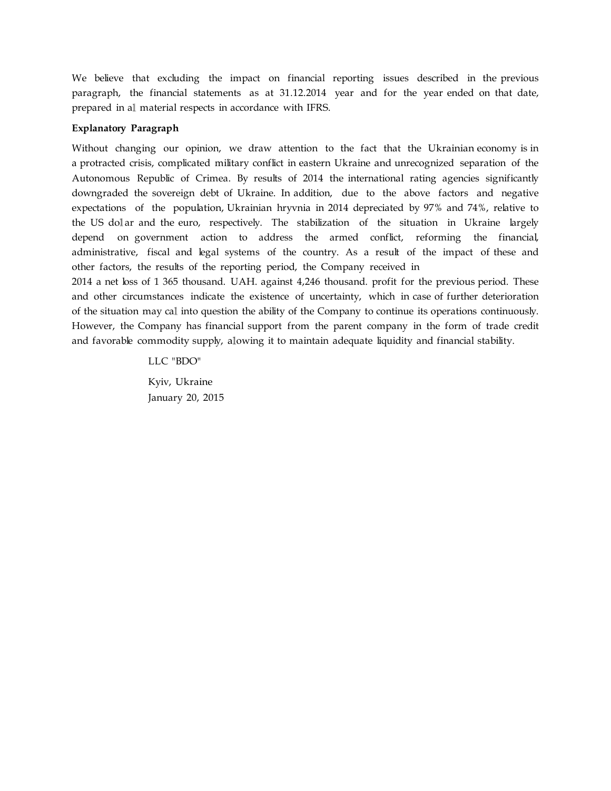We believe that excluding the impact on financial reporting issues described in the previous paragraph, the financial statements as at 31.12.2014 year and for the year ended on that date, prepared in al material respects in accordance with IFRS.

#### **Explanatory Paragraph**

Without changing our opinion, we draw attention to the fact that the Ukrainian economy is in a protracted crisis, complicated military conflict in eastern Ukraine and unrecognized separation of the Autonomous Republic of Crimea. By results of 2014 the international rating agencies significantly downgraded the sovereign debt of Ukraine. In addition, due to the above factors and negative expectations of the population, Ukrainian hryvnia in 2014 depreciated by 97% and 74%, relative to the US dolar and the euro, respectively. The stabilization of the situation in Ukraine largely depend on government action to address the armed conflict, reforming the financial, administrative, fiscal and legal systems of the country. As a result of the impact of these and other factors, the results of the reporting period, the Company received in

2014 a net loss of 1 365 thousand. UAH. against 4,246 thousand. profit for the previous period. These and other circumstances indicate the existence of uncertainty, which in case of further deterioration of the situation may ca into question the ability of the Company to continue its operations continuously. However, the Company has financial support from the parent company in the form of trade credit and favorable commodity supply, alowing it to maintain adequate liquidity and financial stability.

> LLC "BDO" Kyiv, Ukraine January 20, 2015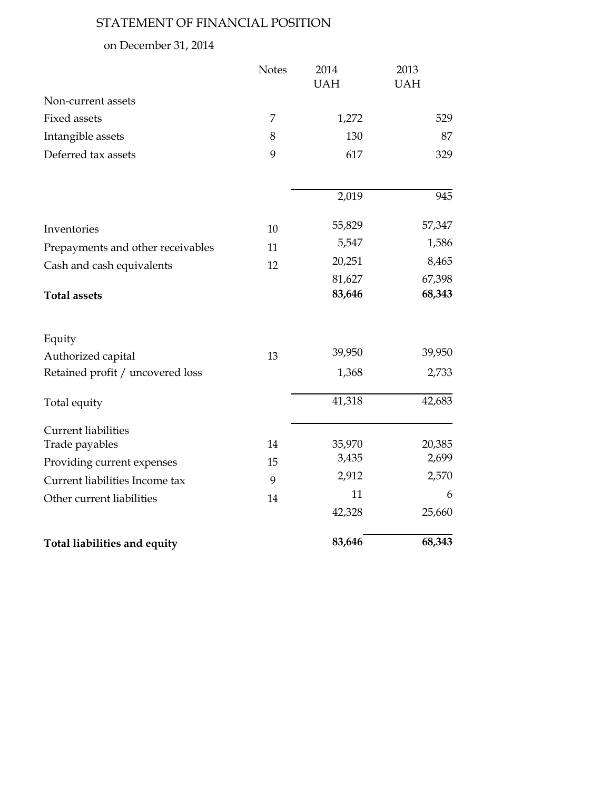# STATEMENT OF FINANCIAL POSITION

# on December 31, 2014

|                                   | <b>Notes</b> | 2014       | 2013       |
|-----------------------------------|--------------|------------|------------|
|                                   |              | <b>UAH</b> | <b>UAH</b> |
| Non-current assets                |              |            |            |
| <b>Fixed assets</b>               | 7            | 1,272      | 529        |
| Intangible assets                 | 8            | 130        | 87         |
| Deferred tax assets               | 9            | 617        | 329        |
|                                   |              | 2,019      | 945        |
| Inventories                       | 10           | 55,829     | 57,347     |
| Prepayments and other receivables | 11           | 5,547      | 1,586      |
| Cash and cash equivalents         | 12           | 20,251     | 8,465      |
|                                   |              | 81,627     | 67,398     |
| <b>Total assets</b>               |              | 83,646     | 68,343     |
| Equity                            |              |            |            |
| Authorized capital                | 13           | 39,950     | 39,950     |
| Retained profit / uncovered loss  |              | 1,368      | 2,733      |
| Total equity                      |              | 41,318     | 42,683     |
| <b>Current liabilities</b>        |              |            |            |
| Trade payables                    | 14           | 35,970     | 20,385     |
| Providing current expenses        | 15           | 3,435      | 2,699      |
| Current liabilities Income tax    | 9            | 2,912      | 2,570      |
| Other current liabilities         | 14           | 11         | 6          |
|                                   |              | 42,328     | 25,660     |
| Total liabilities and equity      |              | 83,646     | 68,343     |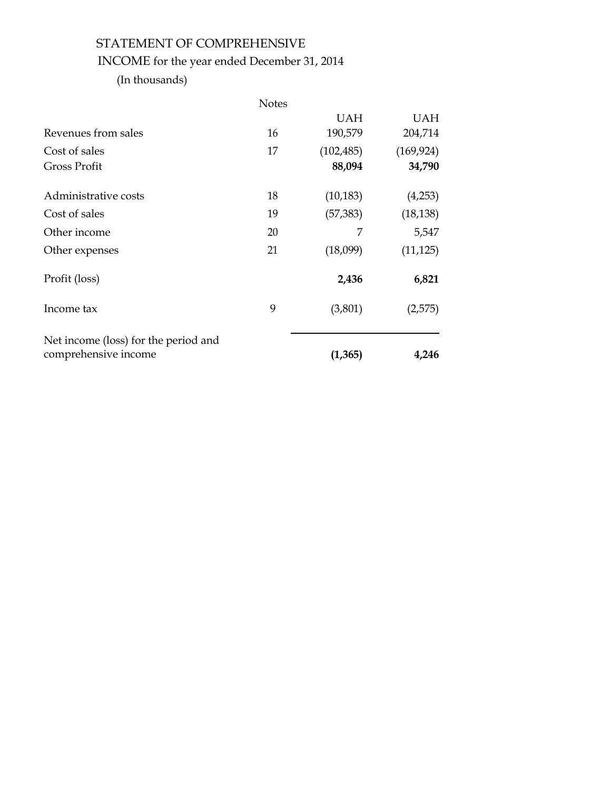# STATEMENT OF COMPREHENSIVE INCOME for the year ended December 31, 2014

(In thousands)

|                                      | <b>Notes</b> |            |            |
|--------------------------------------|--------------|------------|------------|
|                                      |              | <b>UAH</b> | <b>UAH</b> |
| Revenues from sales                  | 16           | 190,579    | 204,714    |
| Cost of sales                        | 17           | (102, 485) | (169, 924) |
| <b>Gross Profit</b>                  |              | 88,094     | 34,790     |
| Administrative costs                 | 18           | (10, 183)  | (4,253)    |
| Cost of sales                        | 19           | (57, 383)  | (18, 138)  |
| Other income                         | 20           | 7          | 5,547      |
| Other expenses                       | 21           | (18,099)   | (11, 125)  |
| Profit (loss)                        |              | 2,436      | 6,821      |
| Income tax                           | 9            | (3,801)    | (2,575)    |
| Net income (loss) for the period and |              |            |            |
| comprehensive income                 |              | (1, 365)   | 4,246      |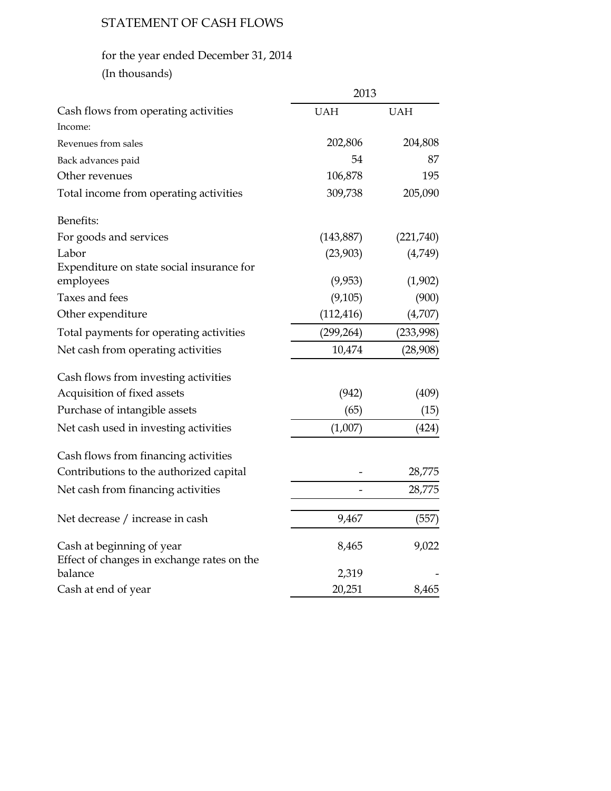# STATEMENT OF CASH FLOWS

# for the year ended December 31, 2014

| (In thousands) |  |
|----------------|--|
|                |  |

|                                                                         | 2013       |            |
|-------------------------------------------------------------------------|------------|------------|
| Cash flows from operating activities                                    | <b>UAH</b> | <b>UAH</b> |
| Income:                                                                 |            |            |
| Revenues from sales                                                     | 202,806    | 204,808    |
| Back advances paid                                                      | 54         | 87         |
| Other revenues                                                          | 106,878    | 195        |
| Total income from operating activities                                  | 309,738    | 205,090    |
| Benefits:                                                               |            |            |
| For goods and services                                                  | (143, 887) | (221,740)  |
| Labor                                                                   | (23,903)   | (4,749)    |
| Expenditure on state social insurance for                               |            |            |
| employees                                                               | (9,953)    | (1,902)    |
| Taxes and fees                                                          | (9,105)    | (900)      |
| Other expenditure                                                       | (112, 416) | (4,707)    |
| Total payments for operating activities                                 | (299, 264) | (233,998)  |
| Net cash from operating activities                                      | 10,474     | (28,908)   |
| Cash flows from investing activities                                    |            |            |
| Acquisition of fixed assets                                             | (942)      | (409)      |
| Purchase of intangible assets                                           | (65)       | (15)       |
| Net cash used in investing activities                                   | (1,007)    | (424)      |
| Cash flows from financing activities                                    |            |            |
| Contributions to the authorized capital                                 |            | 28,775     |
| Net cash from financing activities                                      |            | 28,775     |
| Net decrease / increase in cash                                         | 9,467      | (557)      |
| Cash at beginning of year<br>Effect of changes in exchange rates on the | 8,465      | 9,022      |
| balance                                                                 | 2,319      |            |
| Cash at end of year                                                     | 20,251     | 8,465      |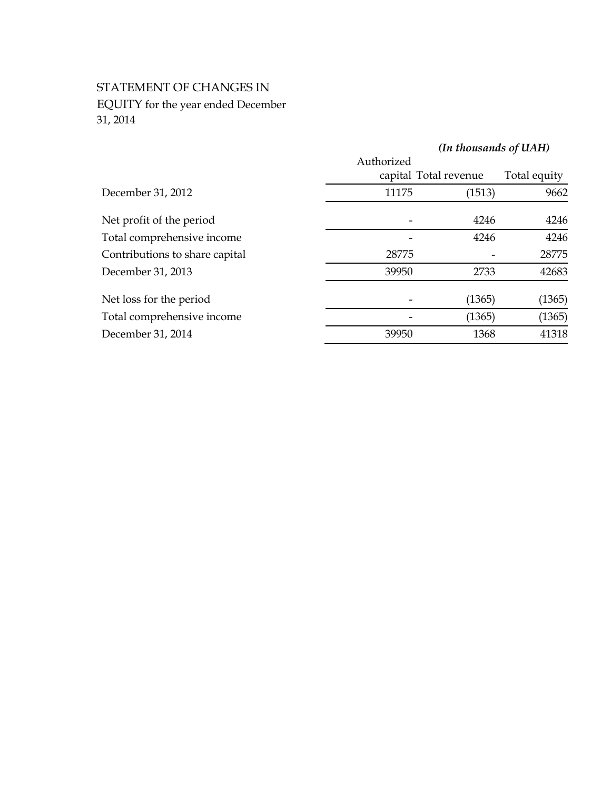# STATEMENT OF CHANGES IN EQUITY for the year ended December 31, 2014

|                                |            | (In thousands of UAH) |              |
|--------------------------------|------------|-----------------------|--------------|
|                                | Authorized | capital Total revenue | Total equity |
| December 31, 2012              | 11175      | (1513)                | 9662         |
| Net profit of the period       |            | 4246                  | 4246         |
| Total comprehensive income     |            | 4246                  | 4246         |
| Contributions to share capital | 28775      |                       | 28775        |
| December 31, 2013              | 39950      | 2733                  | 42683        |
| Net loss for the period        |            | (1365)                | (1365)       |
| Total comprehensive income     |            | (1365)                | (1365)       |
| December 31, 2014              | 39950      | 1368                  | 41318        |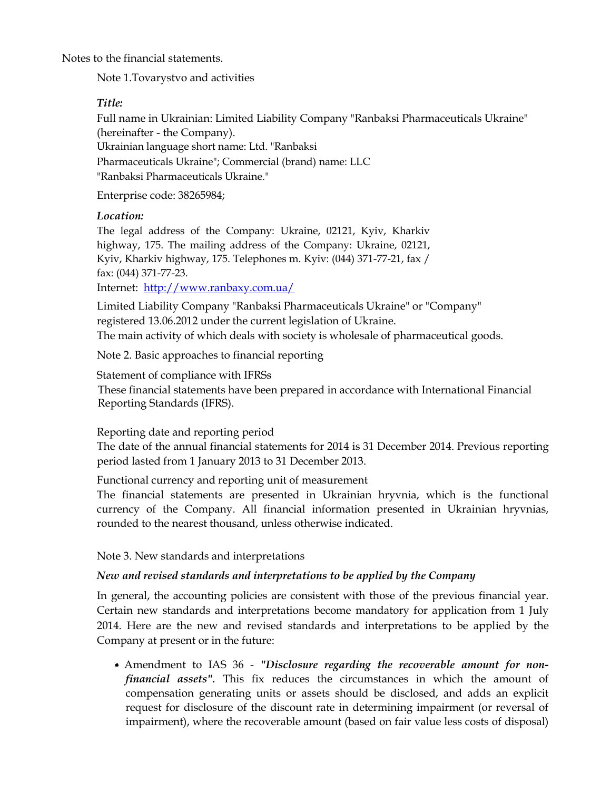Notes to the financial statements.

Note 1.Tovarystvo and activities

# *Title:*

Full name in Ukrainian: Limited Liability Company "Ranbaksi Pharmaceuticals Ukraine" (hereinafter - the Company). Ukrainian language short name: Ltd. "Ranbaksi Pharmaceuticals Ukraine"; Commercial (brand) name: LLC "Ranbaksi Pharmaceuticals Ukraine."

Enterprise code: 38265984;

# *Location:*

The legal address of the Company: Ukraine, 02121, Kyiv, Kharkiv highway, 175. The mailing address of the Company: Ukraine, 02121, Kyiv, Kharkiv highway, 175. Telephones m. Kyiv: (044) 371-77-21, fax / fax: (044) 371-77-23.

Internet: [http://www.ranbaxy.com.ua/](https://translate.google.com/translate?hl=en&prev=_t&sl=uk&tl=en&u=http://www.ranbaxy.com.ua/)

Limited Liability Company "Ranbaksi Pharmaceuticals Ukraine" or "Company" registered 13.06.2012 under the current legislation of Ukraine. The main activity of which deals with society is wholesale of pharmaceutical goods.

Note 2. Basic approaches to financial reporting

Statement of compliance with IFRSs These financial statements have been prepared in accordance with International Financial Reporting Standards (IFRS).

Reporting date and reporting period

The date of the annual financial statements for 2014 is 31 December 2014. Previous reporting period lasted from 1 January 2013 to 31 December 2013.

Functional currency and reporting unit of measurement

The financial statements are presented in Ukrainian hryvnia, which is the functional currency of the Company. All financial information presented in Ukrainian hryvnias, rounded to the nearest thousand, unless otherwise indicated.

Note 3. New standards and interpretations

# *New and revised standards and interpretations to be applied by the Company*

In general, the accounting policies are consistent with those of the previous financial year. Certain new standards and interpretations become mandatory for application from 1 July 2014. Here are the new and revised standards and interpretations to be applied by the Company at present or in the future:

Amendment to IAS 36 - *"Disclosure regarding the recoverable amount for nonfinancial assets".* This fix reduces the circumstances in which the amount of compensation generating units or assets should be disclosed, and adds an explicit request for disclosure of the discount rate in determining impairment (or reversal of impairment), where the recoverable amount (based on fair value less costs of disposal)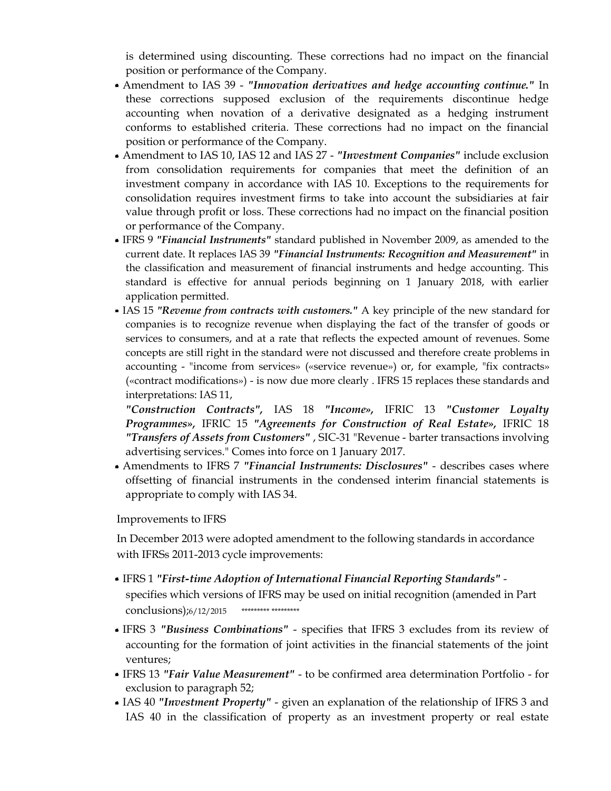is determined using discounting. These corrections had no impact on the financial position or performance of the Company.

- Amendment to IAS 39 *"Innovation derivatives and hedge accounting continue."* In these corrections supposed exclusion of the requirements discontinue hedge accounting when novation of a derivative designated as a hedging instrument conforms to established criteria. These corrections had no impact on the financial position or performance of the Company.
- Amendment to IAS 10, IAS 12 and IAS 27 *"Investment Companies"* include exclusion from consolidation requirements for companies that meet the definition of an investment company in accordance with IAS 10. Exceptions to the requirements for consolidation requires investment firms to take into account the subsidiaries at fair value through profit or loss. These corrections had no impact on the financial position or performance of the Company.
- IFRS 9 *"Financial Instruments"* standard published in November 2009, as amended to the current date. It replaces IAS 39 *"Financial Instruments: Recognition and Measurement"* in the classification and measurement of financial instruments and hedge accounting. This standard is effective for annual periods beginning on 1 January 2018, with earlier application permitted.
- IAS 15 *"Revenue from contracts with customers."* A key principle of the new standard for companies is to recognize revenue when displaying the fact of the transfer of goods or services to consumers, and at a rate that reflects the expected amount of revenues. Some concepts are still right in the standard were not discussed and therefore create problems in accounting - "income from services» («service revenue») or, for example, "fix contracts» («contract modifications») - is now due more clearly . IFRS 15 replaces these standards and interpretations: IAS 11,

*"Construction Contracts",* IAS 18 *"Income»,* IFRIC 13 *"Customer Loyalty Programmes»,* IFRIC 15 *"Agreements for Construction of Real Estate»,* IFRIC 18 *"Transfers of Assets from Customers"* , SIC-31 "Revenue - barter transactions involving advertising services." Comes into force on 1 January 2017.

Amendments to IFRS 7 *"Financial Instruments: Disclosures"* - describes cases where offsetting of financial instruments in the condensed interim financial statements is appropriate to comply with IAS 34.

Improvements to IFRS

In December 2013 were adopted amendment to the following standards in accordance with IFRSs 2011-2013 cycle improvements:

- IFRS 1 *"First-time Adoption of International Financial Reporting Standards"* specifies which versions of IFRS may be used on initial recognition (amended in Part conclusions);6/12/2015 \*\*\*\*\*\*\*\*\* \*\*\*\*\*\*\*\*\*
- IFRS 3 *"Business Combinations"* specifies that IFRS 3 excludes from its review of accounting for the formation of joint activities in the financial statements of the joint ventures;
- IFRS 13 *"Fair Value Measurement"* to be confirmed area determination Portfolio for exclusion to paragraph 52;
- IAS 40 *"Investment Property"* given an explanation of the relationship of IFRS 3 and IAS 40 in the classification of property as an investment property or real estate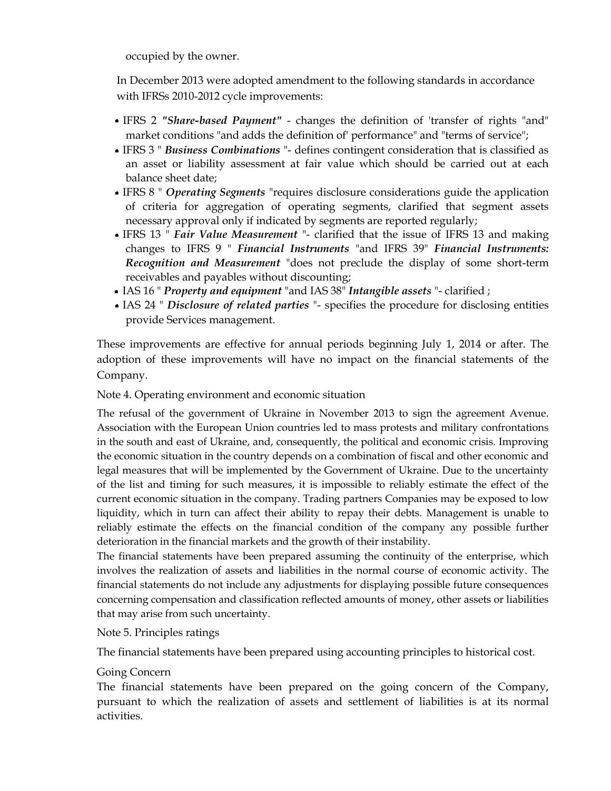occupied by the owner.

In December 2013 were adopted amendment to the following standards in accordance with IFRSs 2010-2012 cycle improvements:

- IFRS 2 *"Share-based Payment"* changes the definition of 'transfer of rights "and" market conditions "and adds the definition of' performance" and "terms of service";
- IFRS 3 " *Business Combinations* "- defines contingent consideration that is classified as an asset or liability assessment at fair value which should be carried out at each balance sheet date;
- IFRS 8 " *Operating Segments* "requires disclosure considerations guide the application of criteria for aggregation of operating segments, clarified that segment assets necessary approval only if indicated by segments are reported regularly;
- IFRS 13 " *Fair Value Measurement* "- clarified that the issue of IFRS 13 and making changes to IFRS 9 " *Financial Instruments* "and IFRS 39" *Financial Instruments: Recognition and Measurement* "does not preclude the display of some short-term receivables and payables without discounting;
- IAS 16 " *Property and equipment* "and IAS 38" *Intangible assets* "- clarified ;
- IAS 24 " *Disclosure of related parties* "- specifies the procedure for disclosing entities provide Services management.

These improvements are effective for annual periods beginning July 1, 2014 or after. The adoption of these improvements will have no impact on the financial statements of the Company.

Note 4. Operating environment and economic situation

The refusal of the government of Ukraine in November 2013 to sign the agreement Avenue. Association with the European Union countries led to mass protests and military confrontations in the south and east of Ukraine, and, consequently, the political and economic crisis. Improving the economic situation in the country depends on a combination of fiscal and other economic and legal measures that will be implemented by the Government of Ukraine. Due to the uncertainty of the list and timing for such measures, it is impossible to reliably estimate the effect of the current economic situation in the company. Trading partners Companies may be exposed to low liquidity, which in turn can affect their ability to repay their debts. Management is unable to reliably estimate the effects on the financial condition of the company any possible further deterioration in the financial markets and the growth of their instability.

The financial statements have been prepared assuming the continuity of the enterprise, which involves the realization of assets and liabilities in the normal course of economic activity. The financial statements do not include any adjustments for displaying possible future consequences concerning compensation and classification reflected amounts of money, other assets or liabilities that may arise from such uncertainty.

Note 5. Principles ratings

The financial statements have been prepared using accounting principles to historical cost.

# Going Concern

The financial statements have been prepared on the going concern of the Company, pursuant to which the realization of assets and settlement of liabilities is at its normal activities.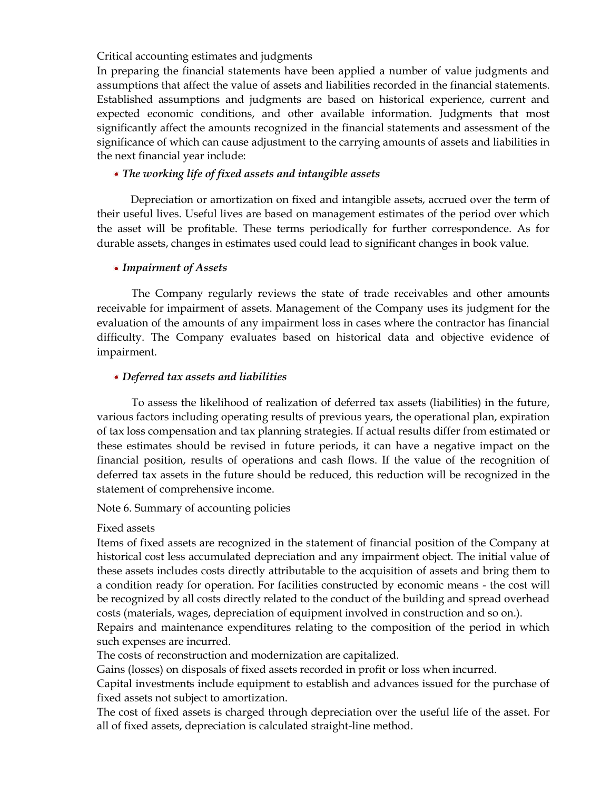Critical accounting estimates and judgments

In preparing the financial statements have been applied a number of value judgments and assumptions that affect the value of assets and liabilities recorded in the financial statements. Established assumptions and judgments are based on historical experience, current and expected economic conditions, and other available information. Judgments that most significantly affect the amounts recognized in the financial statements and assessment of the significance of which can cause adjustment to the carrying amounts of assets and liabilities in the next financial year include:

#### *The working life of fixed assets and intangible assets*

Depreciation or amortization on fixed and intangible assets, accrued over the term of their useful lives. Useful lives are based on management estimates of the period over which the asset will be profitable. These terms periodically for further correspondence. As for durable assets, changes in estimates used could lead to significant changes in book value.

#### *Impairment of Assets*

The Company regularly reviews the state of trade receivables and other amounts receivable for impairment of assets. Management of the Company uses its judgment for the evaluation of the amounts of any impairment loss in cases where the contractor has financial difficulty. The Company evaluates based on historical data and objective evidence of impairment.

#### *Deferred tax assets and liabilities*

To assess the likelihood of realization of deferred tax assets (liabilities) in the future, various factors including operating results of previous years, the operational plan, expiration of tax loss compensation and tax planning strategies. If actual results differ from estimated or these estimates should be revised in future periods, it can have a negative impact on the financial position, results of operations and cash flows. If the value of the recognition of deferred tax assets in the future should be reduced, this reduction will be recognized in the statement of comprehensive income.

#### Note 6. Summary of accounting policies

#### Fixed assets

Items of fixed assets are recognized in the statement of financial position of the Company at historical cost less accumulated depreciation and any impairment object. The initial value of these assets includes costs directly attributable to the acquisition of assets and bring them to a condition ready for operation. For facilities constructed by economic means - the cost will be recognized by all costs directly related to the conduct of the building and spread overhead costs (materials, wages, depreciation of equipment involved in construction and so on.).

Repairs and maintenance expenditures relating to the composition of the period in which such expenses are incurred.

The costs of reconstruction and modernization are capitalized.

Gains (losses) on disposals of fixed assets recorded in profit or loss when incurred.

Capital investments include equipment to establish and advances issued for the purchase of fixed assets not subject to amortization.

The cost of fixed assets is charged through depreciation over the useful life of the asset. For all of fixed assets, depreciation is calculated straight-line method.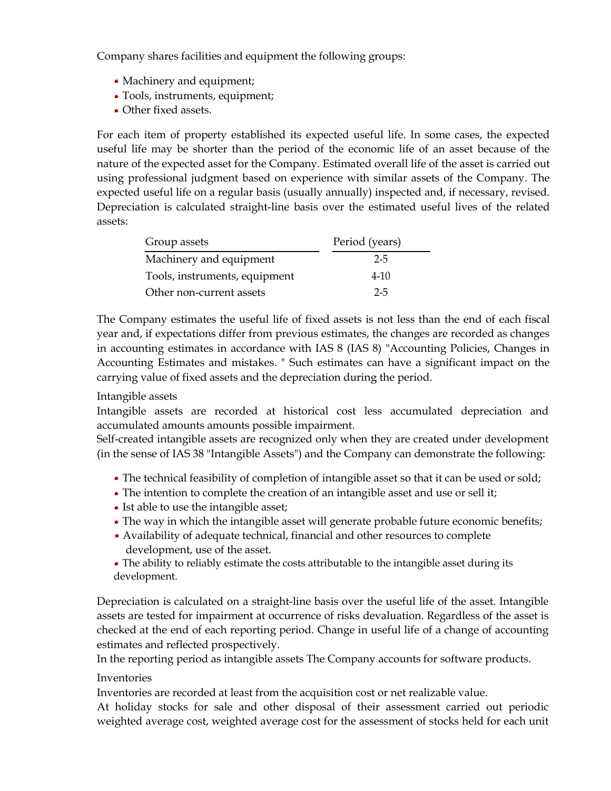Company shares facilities and equipment the following groups:

- Machinery and equipment;
- Tools, instruments, equipment;
- Other fixed assets.

For each item of property established its expected useful life. In some cases, the expected useful life may be shorter than the period of the economic life of an asset because of the nature of the expected asset for the Company. Estimated overall life of the asset is carried out using professional judgment based on experience with similar assets of the Company. The expected useful life on a regular basis (usually annually) inspected and, if necessary, revised. Depreciation is calculated straight-line basis over the estimated useful lives of the related assets:

| Group assets                  | Period (years) |
|-------------------------------|----------------|
| Machinery and equipment       | $2 - 5$        |
| Tools, instruments, equipment | $4 - 10$       |
| Other non-current assets      | $2 - 5$        |

The Company estimates the useful life of fixed assets is not less than the end of each fiscal year and, if expectations differ from previous estimates, the changes are recorded as changes in accounting estimates in accordance with IAS 8 (IAS 8) "Accounting Policies, Changes in Accounting Estimates and mistakes. " Such estimates can have a significant impact on the carrying value of fixed assets and the depreciation during the period.

## Intangible assets

Intangible assets are recorded at historical cost less accumulated depreciation and accumulated amounts amounts possible impairment.

Self-created intangible assets are recognized only when they are created under development (in the sense of IAS 38 "Intangible Assets") and the Company can demonstrate the following:

- The technical feasibility of completion of intangible asset so that it can be used or sold;
- The intention to complete the creation of an intangible asset and use or sell it;
- Ist able to use the intangible asset;
- The way in which the intangible asset will generate probable future economic benefits;
- Availability of adequate technical, financial and other resources to complete development, use of the asset.
- The ability to reliably estimate the costs attributable to the intangible asset during its development.

Depreciation is calculated on a straight-line basis over the useful life of the asset. Intangible assets are tested for impairment at occurrence of risks devaluation. Regardless of the asset is checked at the end of each reporting period. Change in useful life of a change of accounting estimates and reflected prospectively.

In the reporting period as intangible assets The Company accounts for software products.

#### Inventories

Inventories are recorded at least from the acquisition cost or net realizable value.

At holiday stocks for sale and other disposal of their assessment carried out periodic weighted average cost, weighted average cost for the assessment of stocks held for each unit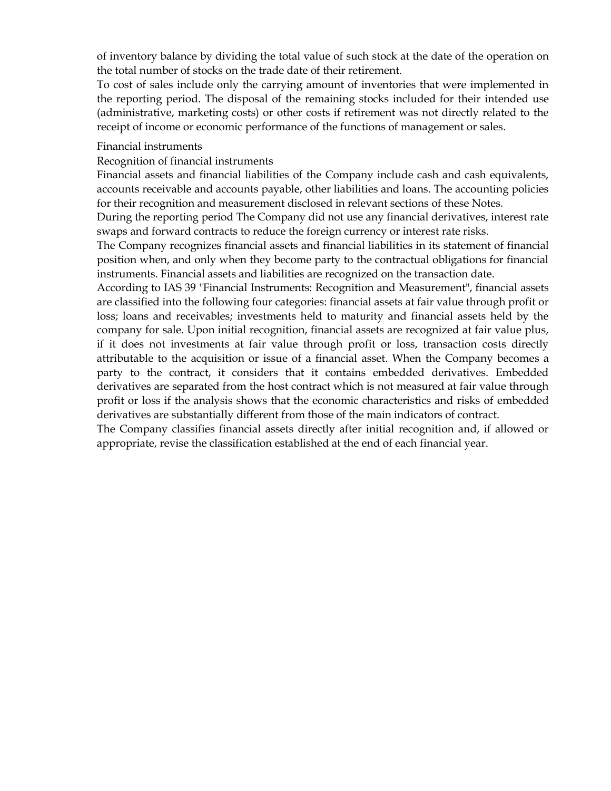of inventory balance by dividing the total value of such stock at the date of the operation on the total number of stocks on the trade date of their retirement.

To cost of sales include only the carrying amount of inventories that were implemented in the reporting period. The disposal of the remaining stocks included for their intended use (administrative, marketing costs) or other costs if retirement was not directly related to the receipt of income or economic performance of the functions of management or sales.

#### Financial instruments

#### Recognition of financial instruments

Financial assets and financial liabilities of the Company include cash and cash equivalents, accounts receivable and accounts payable, other liabilities and loans. The accounting policies for their recognition and measurement disclosed in relevant sections of these Notes.

During the reporting period The Company did not use any financial derivatives, interest rate swaps and forward contracts to reduce the foreign currency or interest rate risks.

The Company recognizes financial assets and financial liabilities in its statement of financial position when, and only when they become party to the contractual obligations for financial instruments. Financial assets and liabilities are recognized on the transaction date.

According to IAS 39 "Financial Instruments: Recognition and Measurement", financial assets are classified into the following four categories: financial assets at fair value through profit or loss; loans and receivables; investments held to maturity and financial assets held by the company for sale. Upon initial recognition, financial assets are recognized at fair value plus, if it does not investments at fair value through profit or loss, transaction costs directly attributable to the acquisition or issue of a financial asset. When the Company becomes a party to the contract, it considers that it contains embedded derivatives. Embedded derivatives are separated from the host contract which is not measured at fair value through profit or loss if the analysis shows that the economic characteristics and risks of embedded derivatives are substantially different from those of the main indicators of contract.

The Company classifies financial assets directly after initial recognition and, if allowed or appropriate, revise the classification established at the end of each financial year.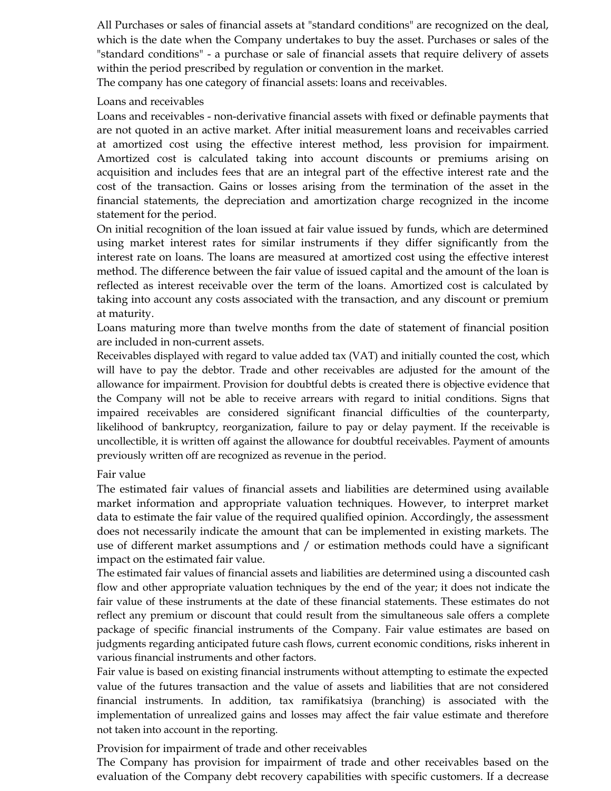All Purchases or sales of financial assets at "standard conditions" are recognized on the deal, which is the date when the Company undertakes to buy the asset. Purchases or sales of the "standard conditions" - a purchase or sale of financial assets that require delivery of assets within the period prescribed by regulation or convention in the market.

The company has one category of financial assets: loans and receivables.

## Loans and receivables

Loans and receivables - non-derivative financial assets with fixed or definable payments that are not quoted in an active market. After initial measurement loans and receivables carried at amortized cost using the effective interest method, less provision for impairment. Amortized cost is calculated taking into account discounts or premiums arising on acquisition and includes fees that are an integral part of the effective interest rate and the cost of the transaction. Gains or losses arising from the termination of the asset in the financial statements, the depreciation and amortization charge recognized in the income statement for the period.

On initial recognition of the loan issued at fair value issued by funds, which are determined using market interest rates for similar instruments if they differ significantly from the interest rate on loans. The loans are measured at amortized cost using the effective interest method. The difference between the fair value of issued capital and the amount of the loan is reflected as interest receivable over the term of the loans. Amortized cost is calculated by taking into account any costs associated with the transaction, and any discount or premium at maturity.

Loans maturing more than twelve months from the date of statement of financial position are included in non-current assets.

Receivables displayed with regard to value added tax (VAT) and initially counted the cost, which will have to pay the debtor. Trade and other receivables are adjusted for the amount of the allowance for impairment. Provision for doubtful debts is created there is objective evidence that the Company will not be able to receive arrears with regard to initial conditions. Signs that impaired receivables are considered significant financial difficulties of the counterparty, likelihood of bankruptcy, reorganization, failure to pay or delay payment. If the receivable is uncollectible, it is written off against the allowance for doubtful receivables. Payment of amounts previously written off are recognized as revenue in the period.

# Fair value

The estimated fair values of financial assets and liabilities are determined using available market information and appropriate valuation techniques. However, to interpret market data to estimate the fair value of the required qualified opinion. Accordingly, the assessment does not necessarily indicate the amount that can be implemented in existing markets. The use of different market assumptions and / or estimation methods could have a significant impact on the estimated fair value.

The estimated fair values of financial assets and liabilities are determined using a discounted cash flow and other appropriate valuation techniques by the end of the year; it does not indicate the fair value of these instruments at the date of these financial statements. These estimates do not reflect any premium or discount that could result from the simultaneous sale offers a complete package of specific financial instruments of the Company. Fair value estimates are based on judgments regarding anticipated future cash flows, current economic conditions, risks inherent in various financial instruments and other factors.

Fair value is based on existing financial instruments without attempting to estimate the expected value of the futures transaction and the value of assets and liabilities that are not considered financial instruments. In addition, tax ramifikatsiya (branching) is associated with the implementation of unrealized gains and losses may affect the fair value estimate and therefore not taken into account in the reporting.

#### Provision for impairment of trade and other receivables

The Company has provision for impairment of trade and other receivables based on the evaluation of the Company debt recovery capabilities with specific customers. If a decrease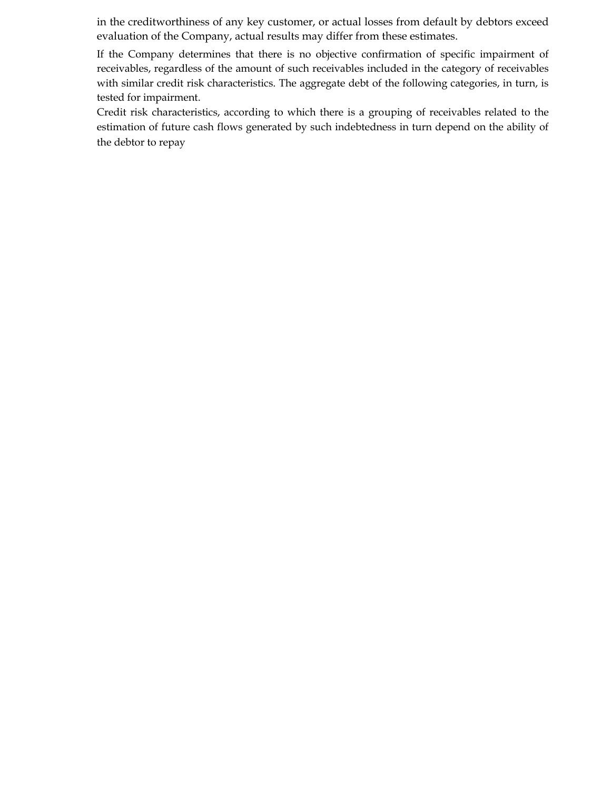in the creditworthiness of any key customer, or actual losses from default by debtors exceed evaluation of the Company, actual results may differ from these estimates.

If the Company determines that there is no objective confirmation of specific impairment of receivables, regardless of the amount of such receivables included in the category of receivables with similar credit risk characteristics. The aggregate debt of the following categories, in turn, is tested for impairment.

Credit risk characteristics, according to which there is a grouping of receivables related to the estimation of future cash flows generated by such indebtedness in turn depend on the ability of the debtor to repay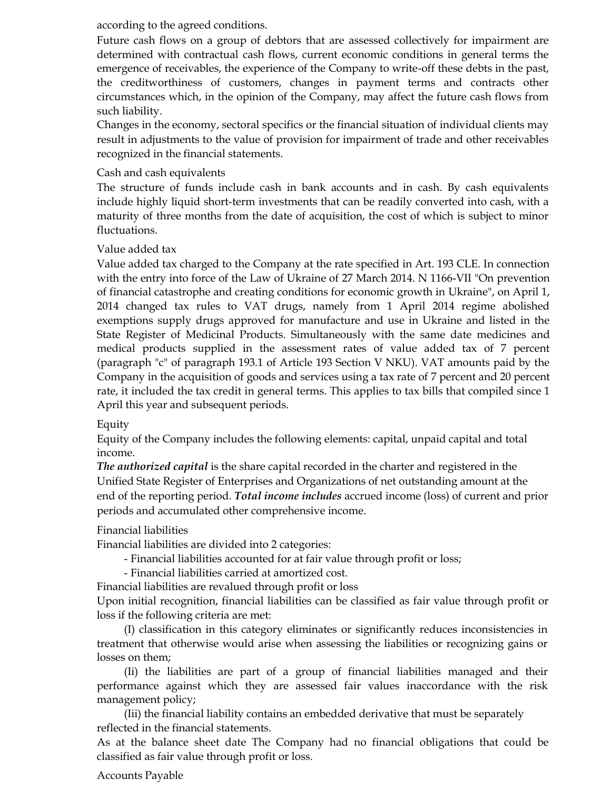according to the agreed conditions.

Future cash flows on a group of debtors that are assessed collectively for impairment are determined with contractual cash flows, current economic conditions in general terms the emergence of receivables, the experience of the Company to write-off these debts in the past, the creditworthiness of customers, changes in payment terms and contracts other circumstances which, in the opinion of the Company, may affect the future cash flows from such liability.

Changes in the economy, sectoral specifics or the financial situation of individual clients may result in adjustments to the value of provision for impairment of trade and other receivables recognized in the financial statements.

## Cash and cash equivalents

The structure of funds include cash in bank accounts and in cash. By cash equivalents include highly liquid short-term investments that can be readily converted into cash, with a maturity of three months from the date of acquisition, the cost of which is subject to minor fluctuations.

## Value added tax

Value added tax charged to the Company at the rate specified in Art. 193 CLE. In connection with the entry into force of the Law of Ukraine of 27 March 2014. N 1166-VII "On prevention of financial catastrophe and creating conditions for economic growth in Ukraine", on April 1, 2014 changed tax rules to VAT drugs, namely from 1 April 2014 regime abolished exemptions supply drugs approved for manufacture and use in Ukraine and listed in the State Register of Medicinal Products. Simultaneously with the same date medicines and medical products supplied in the assessment rates of value added tax of 7 percent (paragraph "c" of paragraph 193.1 of Article 193 Section V NKU). VAT amounts paid by the Company in the acquisition of goods and services using a tax rate of 7 percent and 20 percent rate, it included the tax credit in general terms. This applies to tax bills that compiled since 1 April this year and subsequent periods.

# Equity

Equity of the Company includes the following elements: capital, unpaid capital and total income.

*The authorized capital* is the share capital recorded in the charter and registered in the Unified State Register of Enterprises and Organizations of net outstanding amount at the end of the reporting period. *Total income includes* accrued income (loss) of current and prior periods and accumulated other comprehensive income.

Financial liabilities

Financial liabilities are divided into 2 categories:

- Financial liabilities accounted for at fair value through profit or loss;

- Financial liabilities carried at amortized cost.

Financial liabilities are revalued through profit or loss

Upon initial recognition, financial liabilities can be classified as fair value through profit or loss if the following criteria are met:

(I) classification in this category eliminates or significantly reduces inconsistencies in treatment that otherwise would arise when assessing the liabilities or recognizing gains or losses on them;

(Ii) the liabilities are part of a group of financial liabilities managed and their performance against which they are assessed fair values inaccordance with the risk management policy;

(Iii) the financial liability contains an embedded derivative that must be separately reflected in the financial statements.

As at the balance sheet date The Company had no financial obligations that could be classified as fair value through profit or loss.

#### Accounts Payable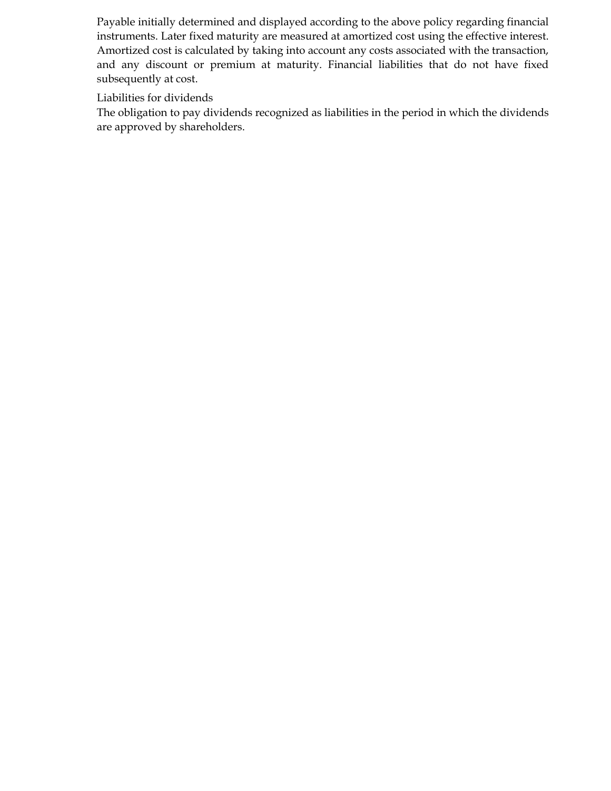Payable initially determined and displayed according to the above policy regarding financial instruments. Later fixed maturity are measured at amortized cost using the effective interest. Amortized cost is calculated by taking into account any costs associated with the transaction, and any discount or premium at maturity. Financial liabilities that do not have fixed subsequently at cost.

Liabilities for dividends

The obligation to pay dividends recognized as liabilities in the period in which the dividends are approved by shareholders.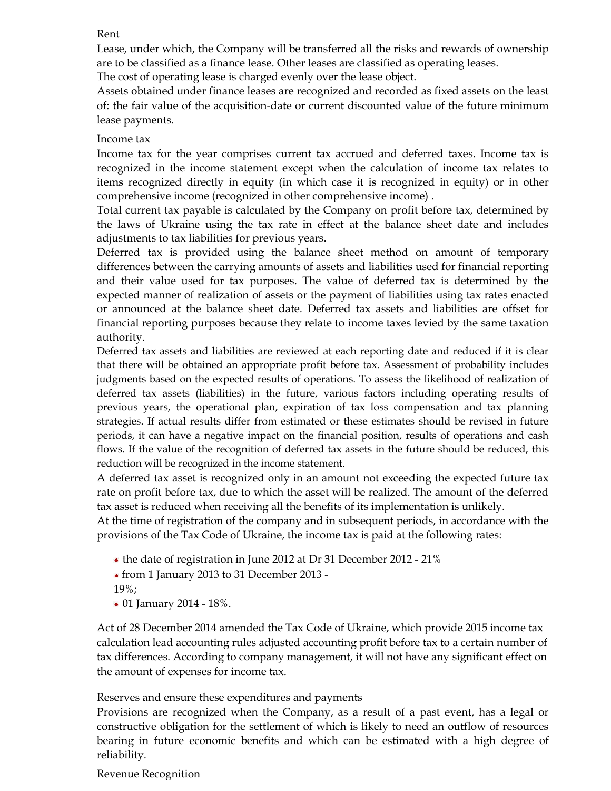#### Rent

Lease, under which, the Company will be transferred all the risks and rewards of ownership are to be classified as a finance lease. Other leases are classified as operating leases.

The cost of operating lease is charged evenly over the lease object.

Assets obtained under finance leases are recognized and recorded as fixed assets on the least of: the fair value of the acquisition-date or current discounted value of the future minimum lease payments.

## Income tax

Income tax for the year comprises current tax accrued and deferred taxes. Income tax is recognized in the income statement except when the calculation of income tax relates to items recognized directly in equity (in which case it is recognized in equity) or in other comprehensive income (recognized in other comprehensive income) .

Total current tax payable is calculated by the Company on profit before tax, determined by the laws of Ukraine using the tax rate in effect at the balance sheet date and includes adjustments to tax liabilities for previous years.

Deferred tax is provided using the balance sheet method on amount of temporary differences between the carrying amounts of assets and liabilities used for financial reporting and their value used for tax purposes. The value of deferred tax is determined by the expected manner of realization of assets or the payment of liabilities using tax rates enacted or announced at the balance sheet date. Deferred tax assets and liabilities are offset for financial reporting purposes because they relate to income taxes levied by the same taxation authority.

Deferred tax assets and liabilities are reviewed at each reporting date and reduced if it is clear that there will be obtained an appropriate profit before tax. Assessment of probability includes judgments based on the expected results of operations. To assess the likelihood of realization of deferred tax assets (liabilities) in the future, various factors including operating results of previous years, the operational plan, expiration of tax loss compensation and tax planning strategies. If actual results differ from estimated or these estimates should be revised in future periods, it can have a negative impact on the financial position, results of operations and cash flows. If the value of the recognition of deferred tax assets in the future should be reduced, this reduction will be recognized in the income statement.

A deferred tax asset is recognized only in an amount not exceeding the expected future tax rate on profit before tax, due to which the asset will be realized. The amount of the deferred tax asset is reduced when receiving all the benefits of its implementation is unlikely.

At the time of registration of the company and in subsequent periods, in accordance with the provisions of the Tax Code of Ukraine, the income tax is paid at the following rates:

- the date of registration in June 2012 at Dr 31 December 2012 21%
- from 1 January 2013 to 31 December 2013 -
- 19%;
- 01 January 2014 18%.

Act of 28 December 2014 amended the Tax Code of Ukraine, which provide 2015 income tax calculation lead accounting rules adjusted accounting profit before tax to a certain number of tax differences. According to company management, it will not have any significant effect on the amount of expenses for income tax.

Reserves and ensure these expenditures and payments

Provisions are recognized when the Company, as a result of a past event, has a legal or constructive obligation for the settlement of which is likely to need an outflow of resources bearing in future economic benefits and which can be estimated with a high degree of reliability.

#### Revenue Recognition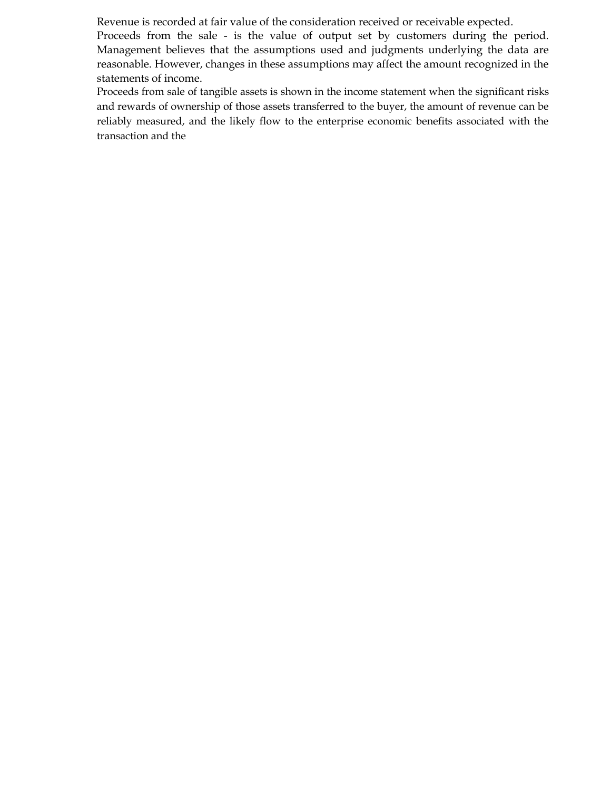Revenue is recorded at fair value of the consideration received or receivable expected.

Proceeds from the sale - is the value of output set by customers during the period. Management believes that the assumptions used and judgments underlying the data are reasonable. However, changes in these assumptions may affect the amount recognized in the statements of income.

Proceeds from sale of tangible assets is shown in the income statement when the significant risks and rewards of ownership of those assets transferred to the buyer, the amount of revenue can be reliably measured, and the likely flow to the enterprise economic benefits associated with the transaction and the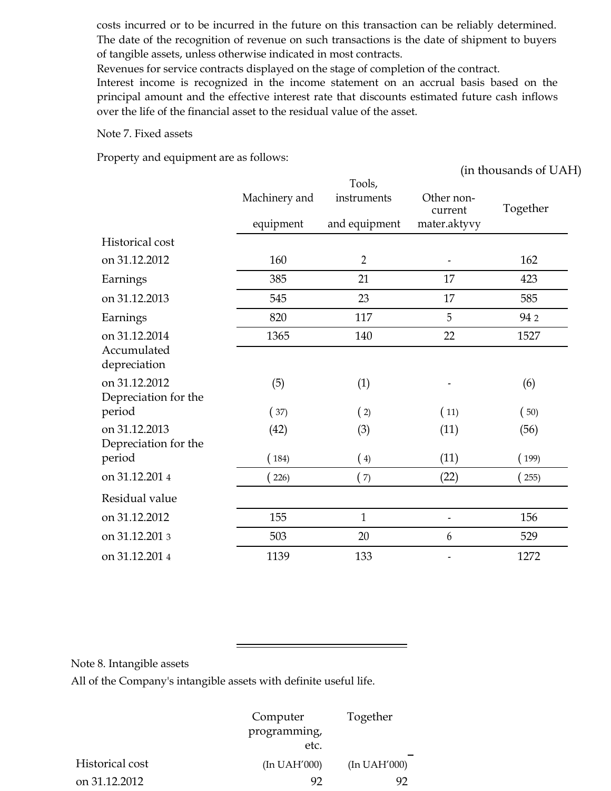costs incurred or to be incurred in the future on this transaction can be reliably determined. The date of the recognition of revenue on such transactions is the date of shipment to buyers of tangible assets, unless otherwise indicated in most contracts.

Revenues for service contracts displayed on the stage of completion of the contract.

Interest income is recognized in the income statement on an accrual basis based on the principal amount and the effective interest rate that discounts estimated future cash inflows over the life of the financial asset to the residual value of the asset.

Note 7. Fixed assets

Property and equipment are as follows:

(in thousands of UAH) Machinery and Tools, instruments Other non-Together equipment and equipment current mater.aktyvy Historical cost on 31.12.2012 160 2 - 162 Earnings 385 21 17 423 on 31.12.2013 545 23 17 585 Earnings 820 117 5 94 2 on 31.12.2014 1365 140 22 1527 Accumulated depreciation on 31.12.2012 (5) (1) (6) Depreciation for the period ( 37) ( 2) ( 11) ( 50) on 31.12.2013 (42) (3) (11) (56) Depreciation for the period ( 184) ( 4) ( 11) ( 199) on 31.12.201 4 ( 226) ( 7) ( 22) ( 255) Residual value on 31.12.2012 155 1 1 - 156 on 31.12.201 3 503 503 20 529 on 31.12.201 4 1139 133 - 1272

Note 8. Intangible assets

All of the Company's intangible assets with definite useful life.

|                 | Computer     | Together     |
|-----------------|--------------|--------------|
|                 | programming, |              |
|                 | etc.         |              |
| Historical cost | (In UAH'000) | (In UAH'000) |
| on 31.12.2012   | 92           | 92           |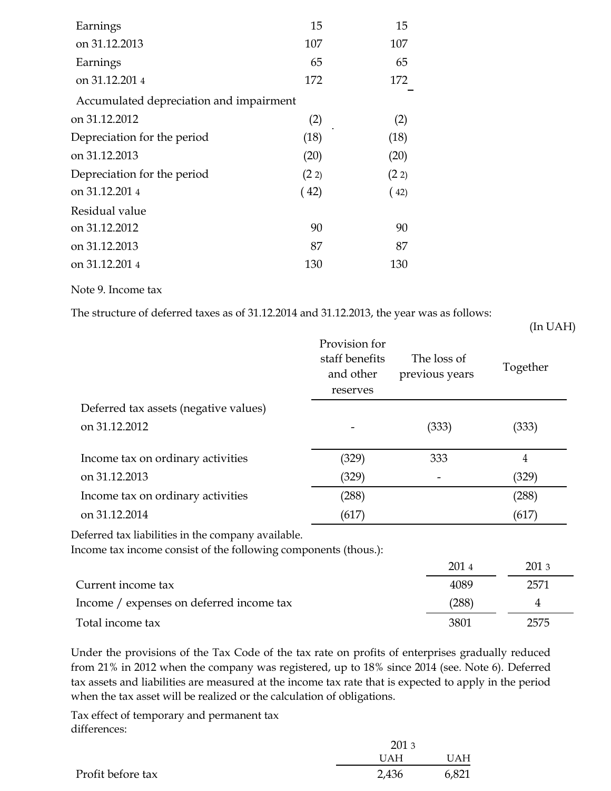| Earnings                                | 15   | 15   |
|-----------------------------------------|------|------|
| on 31.12.2013                           | 107  | 107  |
| Earnings                                | 65   | 65   |
| on 31.12.2014                           | 172  | 172  |
| Accumulated depreciation and impairment |      |      |
| on 31.12.2012                           | (2)  | (2)  |
| Depreciation for the period             | (18) | (18) |
| on 31.12.2013                           | (20) | (20) |
| Depreciation for the period             | (22) | (22) |
| on 31.12.2014                           | (42) | (42) |
| Residual value                          |      |      |
| on 31.12.2012                           | 90   | 90   |
| on 31.12.2013                           | 87   | 87   |
| on 31.12.2014                           | 130  | 130  |
|                                         |      |      |

Note 9. Income tax

The structure of deferred taxes as of 31.12.2014 and 31.12.2013, the year was as follows:

(In UAH)

|                                       | Provision for<br>staff benefits<br>and other<br>reserves | The loss of<br>previous years | Together |
|---------------------------------------|----------------------------------------------------------|-------------------------------|----------|
| Deferred tax assets (negative values) |                                                          |                               |          |
| on 31.12.2012                         |                                                          | (333)                         | (333)    |
| Income tax on ordinary activities     | (329)                                                    | 333                           | 4        |
| on 31.12.2013                         | (329)                                                    |                               | (329)    |
| Income tax on ordinary activities     | (288)                                                    |                               | (288)    |
| on 31.12.2014                         | (617)                                                    |                               | (617)    |

Deferred tax liabilities in the company available.

Income tax income consist of the following components (thous.):

|                                          | 2014  | 201 3 |
|------------------------------------------|-------|-------|
| Current income tax                       | 4089  | 2571  |
| Income / expenses on deferred income tax | (288) |       |
| Total income tax                         | 3801  | 2575  |

Under the provisions of the Tax Code of the tax rate on profits of enterprises gradually reduced from 21% in 2012 when the company was registered, up to 18% since 2014 (see. Note 6). Deferred tax assets and liabilities are measured at the income tax rate that is expected to apply in the period when the tax asset will be realized or the calculation of obligations.

Tax effect of temporary and permanent tax differences:

|                   | 201 3      |       |  |
|-------------------|------------|-------|--|
|                   | <b>UAH</b> | UAH   |  |
| Profit before tax | 2,436      | 6,821 |  |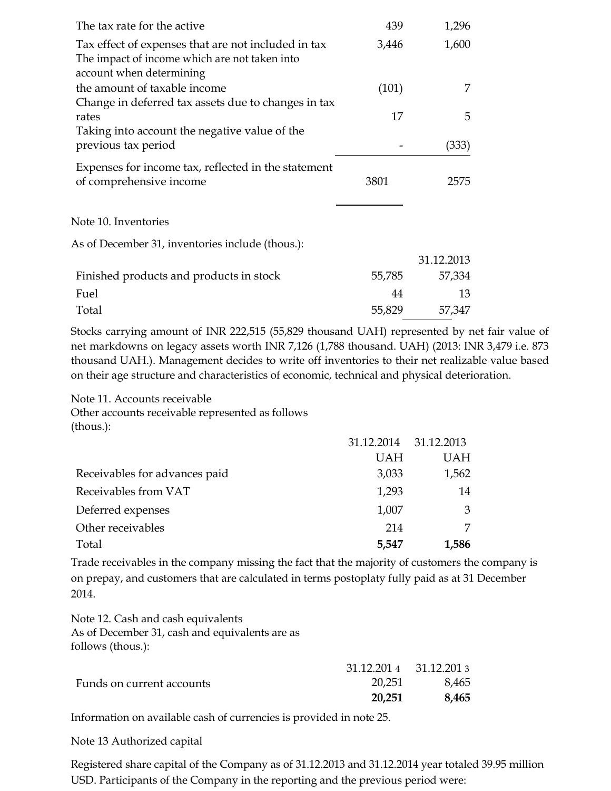| The tax rate for the active                         | 439   | 1,296 |
|-----------------------------------------------------|-------|-------|
| Tax effect of expenses that are not included in tax | 3,446 | 1,600 |
| The impact of income which are not taken into       |       |       |
| account when determining                            |       |       |
| the amount of taxable income                        | (101) |       |
| Change in deferred tax assets due to changes in tax |       |       |
| rates                                               | 17    | 5     |
| Taking into account the negative value of the       |       |       |
| previous tax period                                 |       | (333) |
| Expenses for income tax, reflected in the statement |       |       |
| of comprehensive income                             | 3801  | 2575  |
|                                                     |       |       |
| Note 10. Inventories                                |       |       |

As of December 31, inventories include (thous.):

|                                         |        | 31.12.2013 |
|-----------------------------------------|--------|------------|
| Finished products and products in stock | 55,785 | 57,334     |
| Fuel                                    | 44     | 13.        |
| Total                                   | 55,829 | 57,347     |

Stocks carrying amount of INR 222,515 (55,829 thousand UAH) represented by net fair value of net markdowns on legacy assets worth INR 7,126 (1,788 thousand. UAH) (2013: INR 3,479 i.e. 873 thousand UAH.). Management decides to write off inventories to their net realizable value based on their age structure and characteristics of economic, technical and physical deterioration.

Note 11. Accounts receivable Other accounts receivable represented as follows (thous.):

|                               | 31.12.2014 31.12.2013 |            |
|-------------------------------|-----------------------|------------|
|                               | <b>UAH</b>            | <b>UAH</b> |
| Receivables for advances paid | 3,033                 | 1,562      |
| Receivables from VAT          | 1,293                 | 14         |
| Deferred expenses             | 1,007                 | 3          |
| Other receivables             | 214                   | 7          |
| Total                         | 5,547                 | 1,586      |

Trade receivables in the company missing the fact that the majority of customers the company is on prepay, and customers that are calculated in terms postoplaty fully paid as at 31 December 2014.

Note 12. Cash and cash equivalents As of December 31, cash and equivalents are as follows (thous.):

|                           | $31.12.2014$ $31.12.2013$ |       |
|---------------------------|---------------------------|-------|
| Funds on current accounts | 20,251                    | 8,465 |
|                           | 20,251                    | 8,465 |

Information on available cash of currencies is provided in note 25.

Note 13 Authorized capital

Registered share capital of the Company as of 31.12.2013 and 31.12.2014 year totaled 39.95 million USD. Participants of the Company in the reporting and the previous period were: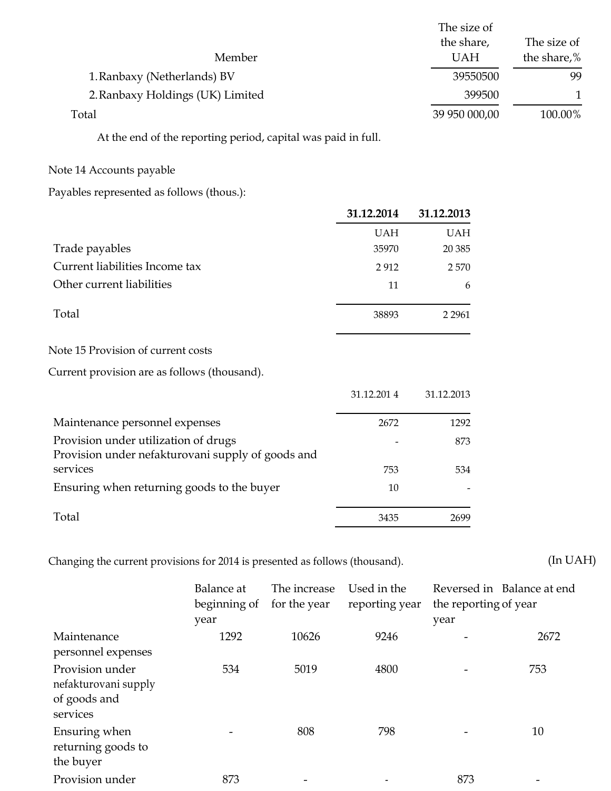|                                  | The size of   |             |
|----------------------------------|---------------|-------------|
|                                  | the share,    | The size of |
| Member                           | <b>UAH</b>    | the share,% |
| 1. Ranbaxy (Netherlands) BV      | 39550500      | 99          |
| 2. Ranbaxy Holdings (UK) Limited | 399500        |             |
| Total                            | 39 950 000,00 | 100.00%     |

At the end of the reporting period, capital was paid in full.

#### Note 14 Accounts payable

Payables represented as follows (thous.):

| 31.12.2014 | 31.12.2013 |
|------------|------------|
| <b>UAH</b> | <b>UAH</b> |
| 35970      | 20 3 85    |
| 2912       | 2570       |
| 11         | 6          |
| 38893      | 2 2 9 6 1  |
|            |            |
|            |            |
| 31.12.2014 | 31.12.2013 |
| 2672       | 1292       |
|            | 873        |
| 753        | 534        |
| 10         |            |
| 3435       | 2699       |
|            |            |

Changing the current provisions for 2014 is presented as follows (thousand). (In UAH)

Balance at The increase Used in the Reversed in Balance at end beginning of for the year reporting year the reporting of year year year Maintenance 1292 10626 9246 - 2672 personnel expenses Provision under 534 5019 4800 - 753 nefakturovani supply of goods and services Ensuring when 10 returning goods to the buyer Provision under 873 - 873 - 873 - 873 - 873 - 873 - 873 - 873 - 873 - 873 - 873 - 873 - 873 - 873 - 873 - 873 - 873 - 873 - 873 - 873 - 873 - 873 - 873 - 873 - 873 - 873 - 873 - 873 - 873 - 873 - 874 - 874 - 875 - 875 - 87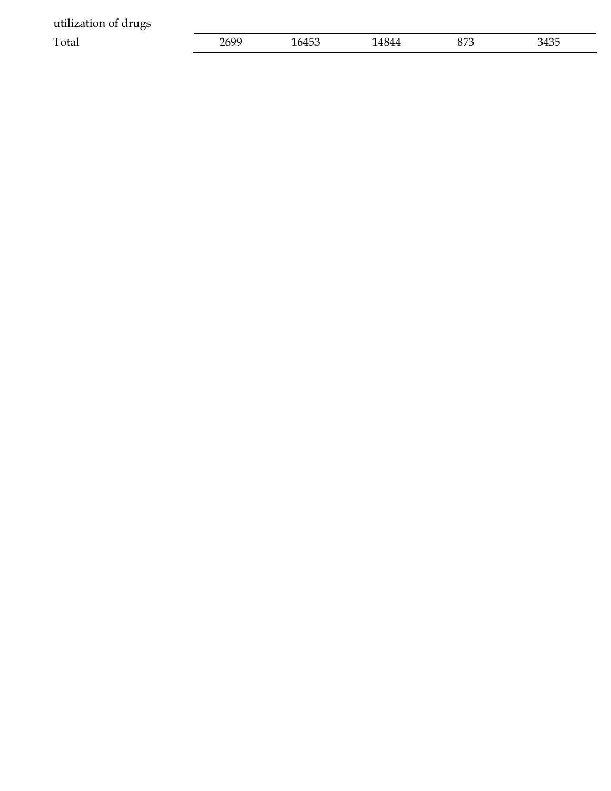| utilization of drugs |      |       |       |     |      |
|----------------------|------|-------|-------|-----|------|
| Total                | 2699 | 16453 | 14844 | 873 | 3435 |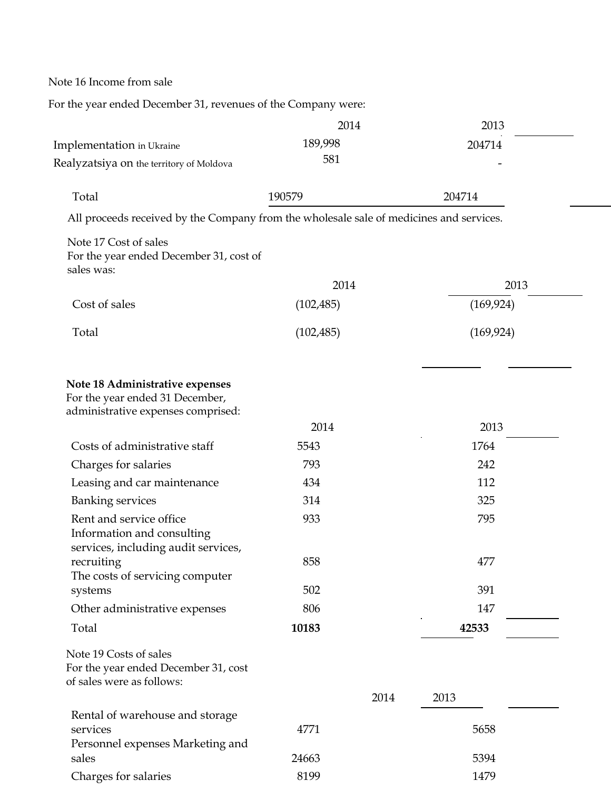Note 16 Income from sale

For the year ended December 31, revenues of the Company were:

|                                                                                                          | 2014       | 2013         |
|----------------------------------------------------------------------------------------------------------|------------|--------------|
| <b>Implementation</b> in Ukraine                                                                         | 189,998    | 204714       |
| Realyzatsiya on the territory of Moldova                                                                 | 581        |              |
|                                                                                                          |            |              |
| Total                                                                                                    | 190579     | 204714       |
| All proceeds received by the Company from the wholesale sale of medicines and services.                  |            |              |
| Note 17 Cost of sales<br>For the year ended December 31, cost of<br>sales was:                           |            |              |
|                                                                                                          | 2014       | 2013         |
| Cost of sales                                                                                            | (102, 485) | (169, 924)   |
| Total                                                                                                    | (102, 485) | (169, 924)   |
| Note 18 Administrative expenses<br>For the year ended 31 December,<br>administrative expenses comprised: | 2014       | 2013         |
| Costs of administrative staff                                                                            | 5543       | 1764         |
| Charges for salaries                                                                                     | 793        | 242          |
| Leasing and car maintenance                                                                              | 434        | 112          |
| <b>Banking services</b>                                                                                  | 314        | 325          |
| Rent and service office<br>Information and consulting<br>services, including audit services,             | 933        | 795          |
| recruiting<br>The costs of servicing computer                                                            | 858        | 477          |
| systems                                                                                                  | 502        | 391          |
| Other administrative expenses                                                                            | 806        | 147          |
| Total                                                                                                    | 10183      | 42533        |
| Note 19 Costs of sales<br>For the year ended December 31, cost<br>of sales were as follows:              |            |              |
|                                                                                                          |            | 2014<br>2013 |
| Rental of warehouse and storage                                                                          |            |              |
| services                                                                                                 | 4771       | 5658         |
| Personnel expenses Marketing and<br>sales                                                                | 24663      | 5394         |
|                                                                                                          |            |              |
| Charges for salaries                                                                                     | 8199       | 1479         |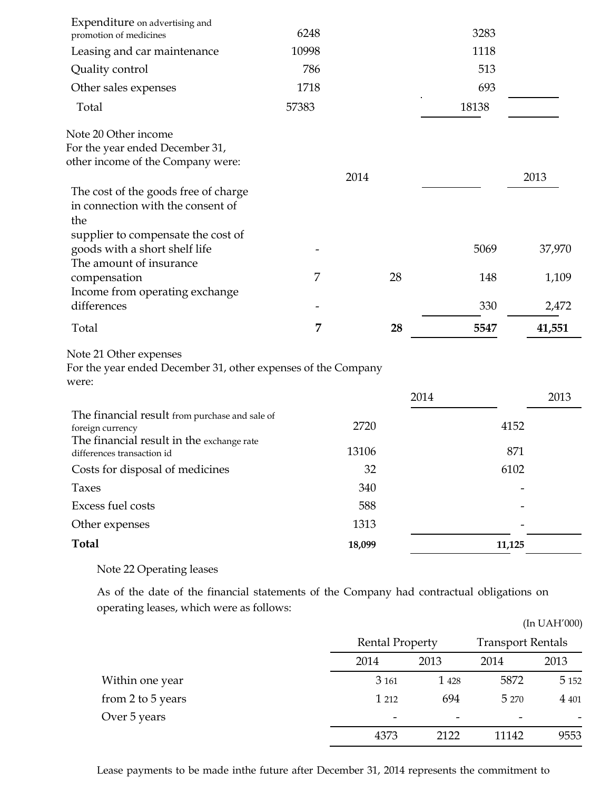| Expenditure on advertising and<br>promotion of medicines                                                        | 6248  |        |    | 3283  |        |
|-----------------------------------------------------------------------------------------------------------------|-------|--------|----|-------|--------|
| Leasing and car maintenance                                                                                     | 10998 |        |    | 1118  |        |
| Quality control                                                                                                 | 786   |        |    | 513   |        |
| Other sales expenses                                                                                            | 1718  |        |    | 693   |        |
| Total                                                                                                           | 57383 |        |    | 18138 |        |
| Note 20 Other income<br>For the year ended December 31,<br>other income of the Company were:                    |       | 2014   |    |       | 2013   |
| The cost of the goods free of charge<br>in connection with the consent of<br>the                                |       |        |    |       |        |
| supplier to compensate the cost of<br>goods with a short shelf life<br>The amount of insurance                  |       |        |    | 5069  | 37,970 |
| compensation<br>Income from operating exchange                                                                  | 7     |        | 28 | 148   | 1,109  |
| differences                                                                                                     |       |        |    | 330   | 2,472  |
| Total                                                                                                           | 7     |        | 28 | 5547  | 41,551 |
| Note 21 Other expenses<br>For the year ended December 31, other expenses of the Company<br>were:                |       |        |    |       |        |
|                                                                                                                 |       |        |    | 2014  | 2013   |
| The financial result from purchase and sale of<br>foreign currency<br>The financial result in the exchange rate |       | 2720   |    |       | 4152   |
| differences transaction id                                                                                      |       | 13106  |    |       | 871    |
| Costs for disposal of medicines                                                                                 |       | 32     |    |       | 6102   |
| <b>Taxes</b>                                                                                                    |       | 340    |    |       |        |
| Excess fuel costs                                                                                               |       | 588    |    |       |        |
| Other expenses                                                                                                  |       | 1313   |    |       |        |
| <b>Total</b>                                                                                                    |       | 18,099 |    |       | 11,125 |
|                                                                                                                 |       |        |    |       |        |

Note 22 Operating leases

As of the date of the financial statements of the Company had contractual obligations on operating leases, which were as follows:

|                   |                        |         |                          | (In UAH'000) |
|-------------------|------------------------|---------|--------------------------|--------------|
|                   | <b>Rental Property</b> |         | <b>Transport Rentals</b> |              |
|                   | 2014                   | 2013    | 2014                     | 2013         |
| Within one year   | 3 16 1                 | 1 4 2 8 | 5872                     | 5 1 5 2      |
| from 2 to 5 years | 1 212                  | 694     | 5 2 7 0                  | 4 401        |
| Over 5 years      |                        |         |                          |              |
|                   | 4373                   | 2122    | 11142                    | 9553         |

Lease payments to be made inthe future after December 31, 2014 represents the commitment to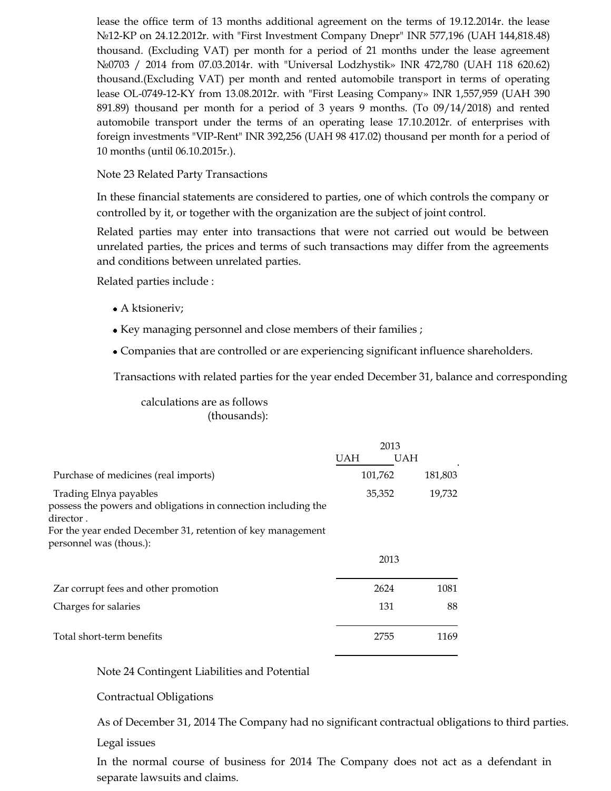lease the office term of 13 months additional agreement on the terms of 19.12.2014r. the lease №12-KP on 24.12.2012r. with "First Investment Company Dnepr" INR 577,196 (UAH 144,818.48) thousand. (Excluding VAT) per month for a period of 21 months under the lease agreement №0703 / 2014 from 07.03.2014r. with "Universal Lodzhystik» INR 472,780 (UAH 118 620.62) thousand.(Excluding VAT) per month and rented automobile transport in terms of operating lease OL-0749-12-KY from 13.08.2012r. with "First Leasing Company» INR 1,557,959 (UAH 390 891.89) thousand per month for a period of 3 years 9 months. (To 09/14/2018) and rented automobile transport under the terms of an operating lease 17.10.2012r. of enterprises with foreign investments "VIP-Rent" INR 392,256 (UAH 98 417.02) thousand per month for a period of 10 months (until 06.10.2015r.).

## Note 23 Related Party Transactions

In these financial statements are considered to parties, one of which controls the company or controlled by it, or together with the organization are the subject of joint control.

Related parties may enter into transactions that were not carried out would be between unrelated parties, the prices and terms of such transactions may differ from the agreements and conditions between unrelated parties.

Related parties include :

- A ktsioneriv;
- Key managing personnel and close members of their families ;
- Companies that are controlled or are experiencing significant influence shareholders.

Transactions with related parties for the year ended December 31, balance and corresponding

calculations are as follows (thousands):

|                                                                                                                                                                                                  | 2013 |            |         |
|--------------------------------------------------------------------------------------------------------------------------------------------------------------------------------------------------|------|------------|---------|
|                                                                                                                                                                                                  | UAH  | <b>UAH</b> |         |
| Purchase of medicines (real imports)                                                                                                                                                             |      | 101,762    | 181,803 |
| Trading Elnya payables<br>possess the powers and obligations in connection including the<br>director .<br>For the year ended December 31, retention of key management<br>personnel was (thous.): |      | 35,352     | 19,732  |
|                                                                                                                                                                                                  |      | 2013       |         |
| Zar corrupt fees and other promotion                                                                                                                                                             |      | 2624       | 1081    |
| Charges for salaries                                                                                                                                                                             |      | 131        | 88      |
| Total short-term benefits                                                                                                                                                                        |      | 2755       | 1169    |
|                                                                                                                                                                                                  |      |            |         |

Note 24 Contingent Liabilities and Potential

Contractual Obligations

As of December 31, 2014 The Company had no significant contractual obligations to third parties.

Legal issues

In the normal course of business for 2014 The Company does not act as a defendant in separate lawsuits and claims.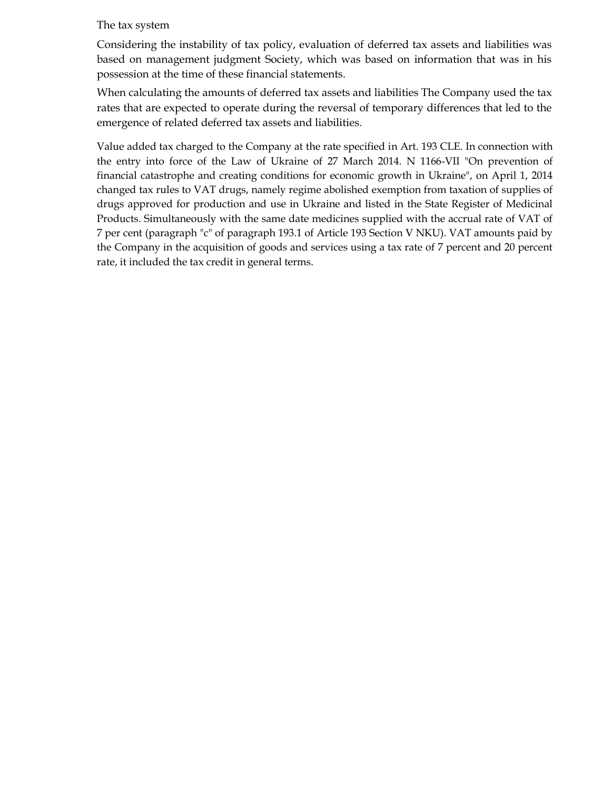#### The tax system

Considering the instability of tax policy, evaluation of deferred tax assets and liabilities was based on management judgment Society, which was based on information that was in his possession at the time of these financial statements.

When calculating the amounts of deferred tax assets and liabilities The Company used the tax rates that are expected to operate during the reversal of temporary differences that led to the emergence of related deferred tax assets and liabilities.

Value added tax charged to the Company at the rate specified in Art. 193 CLE. In connection with the entry into force of the Law of Ukraine of 27 March 2014. N 1166-VII "On prevention of financial catastrophe and creating conditions for economic growth in Ukraine", on April 1, 2014 changed tax rules to VAT drugs, namely regime abolished exemption from taxation of supplies of drugs approved for production and use in Ukraine and listed in the State Register of Medicinal Products. Simultaneously with the same date medicines supplied with the accrual rate of VAT of 7 per cent (paragraph "c" of paragraph 193.1 of Article 193 Section V NKU). VAT amounts paid by the Company in the acquisition of goods and services using a tax rate of 7 percent and 20 percent rate, it included the tax credit in general terms.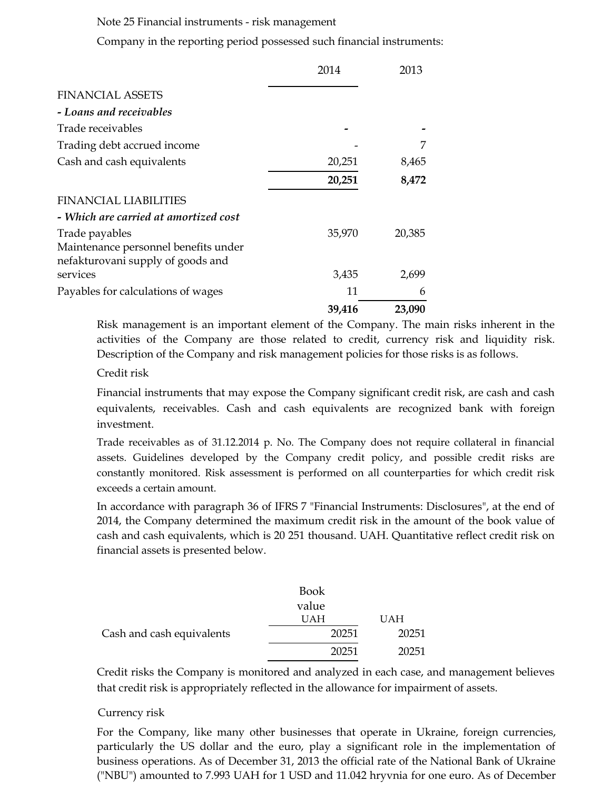#### Note 25 Financial instruments - risk management

Company in the reporting period possessed such financial instruments:

|                                                                           | 2014   | 2013   |
|---------------------------------------------------------------------------|--------|--------|
| <b>FINANCIAL ASSETS</b>                                                   |        |        |
| - Loans and receivables                                                   |        |        |
| Trade receivables                                                         |        |        |
| Trading debt accrued income                                               |        | 7      |
| Cash and cash equivalents                                                 | 20,251 | 8,465  |
|                                                                           | 20,251 | 8,472  |
| <b>FINANCIAL LIABILITIES</b>                                              |        |        |
| - Which are carried at amortized cost                                     |        |        |
| Trade payables                                                            | 35,970 | 20,385 |
| Maintenance personnel benefits under<br>nefakturovani supply of goods and |        |        |
| services                                                                  | 3,435  | 2,699  |
| Payables for calculations of wages                                        | 11     | 6      |
|                                                                           | 39,416 | 23,090 |

Risk management is an important element of the Company. The main risks inherent in the activities of the Company are those related to credit, currency risk and liquidity risk. Description of the Company and risk management policies for those risks is as follows.

#### Credit risk

Financial instruments that may expose the Company significant credit risk, are cash and cash equivalents, receivables. Cash and cash equivalents are recognized bank with foreign investment.

Trade receivables as of 31.12.2014 p. No. The Company does not require collateral in financial assets. Guidelines developed by the Company credit policy, and possible credit risks are constantly monitored. Risk assessment is performed on all counterparties for which credit risk exceeds a certain amount.

In accordance with paragraph 36 of IFRS 7 "Financial Instruments: Disclosures", at the end of 2014, the Company determined the maximum credit risk in the amount of the book value of cash and cash equivalents, which is 20 251 thousand. UAH. Quantitative reflect credit risk on financial assets is presented below.

|                           | <b>Book</b> |            |
|---------------------------|-------------|------------|
|                           | value       |            |
|                           | <b>UAH</b>  | <b>UAH</b> |
| Cash and cash equivalents | 20251       | 20251      |
|                           | 20251       | 20251      |

Credit risks the Company is monitored and analyzed in each case, and management believes that credit risk is appropriately reflected in the allowance for impairment of assets.

#### Currency risk

For the Company, like many other businesses that operate in Ukraine, foreign currencies, particularly the US dollar and the euro, play a significant role in the implementation of business operations. As of December 31, 2013 the official rate of the National Bank of Ukraine ("NBU") amounted to 7.993 UAH for 1 USD and 11.042 hryvnia for one euro. As of December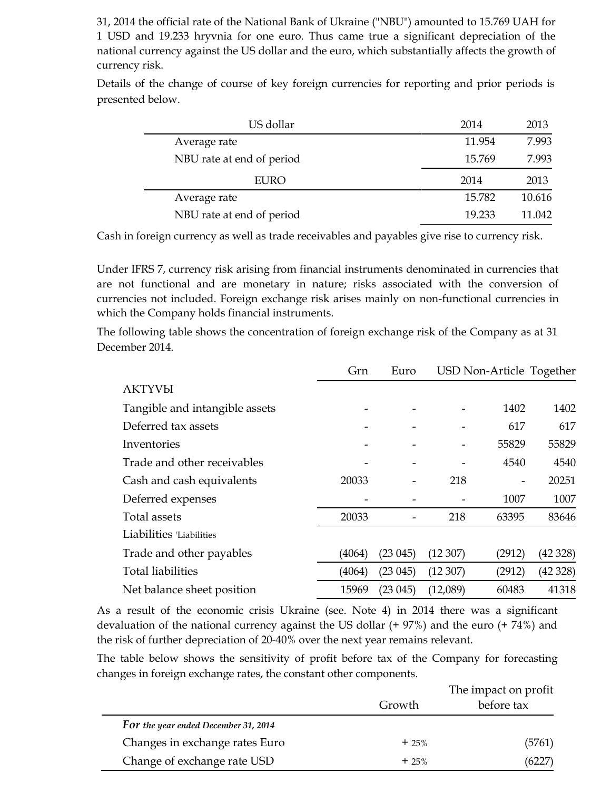31, 2014 the official rate of the National Bank of Ukraine ("NBU") amounted to 15.769 UAH for 1 USD and 19.233 hryvnia for one euro. Thus came true a significant depreciation of the national currency against the US dollar and the euro, which substantially affects the growth of currency risk.

Details of the change of course of key foreign currencies for reporting and prior periods is presented below.

| US dollar                 | 2014   | 2013   |
|---------------------------|--------|--------|
| Average rate              | 11.954 | 7.993  |
| NBU rate at end of period | 15.769 | 7.993  |
| <b>EURO</b>               | 2014   | 2013   |
| Average rate              | 15.782 | 10.616 |
| NBU rate at end of period | 19.233 | 11.042 |

Cash in foreign currency as well as trade receivables and payables give rise to currency risk.

Under IFRS 7, currency risk arising from financial instruments denominated in currencies that are not functional and are monetary in nature; risks associated with the conversion of currencies not included. Foreign exchange risk arises mainly on non-functional currencies in which the Company holds financial instruments.

The following table shows the concentration of foreign exchange risk of the Company as at 31 December 2014.

|                                | Grn    | Euro                     | USD Non-Article Together |        |         |
|--------------------------------|--------|--------------------------|--------------------------|--------|---------|
| <b>AKTYVbI</b>                 |        |                          |                          |        |         |
| Tangible and intangible assets |        |                          |                          | 1402   | 1402    |
| Deferred tax assets            |        |                          |                          | 617    | 617     |
| Inventories                    |        |                          |                          | 55829  | 55829   |
| Trade and other receivables    |        |                          |                          | 4540   | 4540    |
| Cash and cash equivalents      | 20033  |                          | 218                      |        | 20251   |
| Deferred expenses              |        |                          |                          | 1007   | 1007    |
| Total assets                   | 20033  | $\overline{\phantom{a}}$ | 218                      | 63395  | 83646   |
| Liabilities 'Liabilities       |        |                          |                          |        |         |
| Trade and other payables       | (4064) | (23045)                  | (12307)                  | (2912) | (42328) |
| <b>Total liabilities</b>       | (4064) | (23045)                  | (12307)                  | (2912) | (42328) |
| Net balance sheet position     | 15969  | (23045)                  | (12,089)                 | 60483  | 41318   |

As a result of the economic crisis Ukraine (see. Note 4) in 2014 there was a significant devaluation of the national currency against the US dollar (+ 97%) and the euro (+ 74%) and the risk of further depreciation of 20-40% over the next year remains relevant.

The table below shows the sensitivity of profit before tax of the Company for forecasting changes in foreign exchange rates, the constant other components.

|                                      | Growth | The impact on profit<br>before tax |  |  |
|--------------------------------------|--------|------------------------------------|--|--|
| For the year ended December 31, 2014 |        |                                    |  |  |
| Changes in exchange rates Euro       | $+25%$ | (5761)                             |  |  |
| Change of exchange rate USD          | $+25%$ | (6227)                             |  |  |